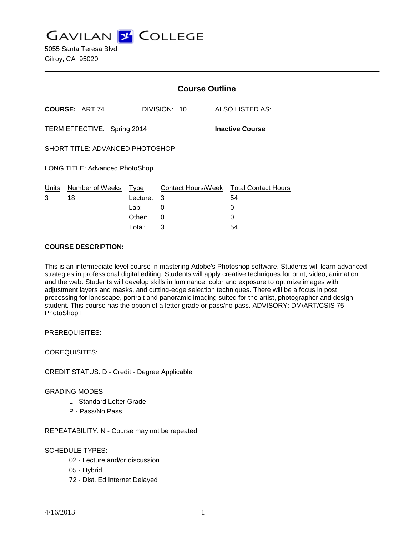**GAVILAN J' COLLEGE** 

|                                                       |                            | <b>Course Outline</b> |              |                                              |
|-------------------------------------------------------|----------------------------|-----------------------|--------------|----------------------------------------------|
|                                                       | <b>COURSE: ART 74</b>      |                       | DIVISION: 10 | ALSO LISTED AS:                              |
| TERM EFFECTIVE: Spring 2014<br><b>Inactive Course</b> |                            |                       |              |                                              |
| SHORT TITLE: ADVANCED PHOTOSHOP                       |                            |                       |              |                                              |
| LONG TITLE: Advanced PhotoShop                        |                            |                       |              |                                              |
| <u>Units</u><br>3                                     | Number of Weeks Type<br>18 | Lecture:              | 3            | Contact Hours/Week Total Contact Hours<br>54 |
|                                                       |                            | Lab:                  | 0            | 0                                            |
|                                                       |                            | Other:                | 0            | O                                            |
|                                                       |                            | Total:                | 3            | 54                                           |

#### **COURSE DESCRIPTION:**

This is an intermediate level course in mastering Adobe's Photoshop software. Students will learn advanced strategies in professional digital editing. Students will apply creative techniques for print, video, animation and the web. Students will develop skills in luminance, color and exposure to optimize images with adjustment layers and masks, and cutting-edge selection techniques. There will be a focus in post processing for landscape, portrait and panoramic imaging suited for the artist, photographer and design student. This course has the option of a letter grade or pass/no pass. ADVISORY: DM/ART/CSIS 75 PhotoShop I

PREREQUISITES:

COREQUISITES:

CREDIT STATUS: D - Credit - Degree Applicable

GRADING MODES

- L Standard Letter Grade
- P Pass/No Pass

REPEATABILITY: N - Course may not be repeated

## SCHEDULE TYPES:

- 02 Lecture and/or discussion
- 05 Hybrid
- 72 Dist. Ed Internet Delayed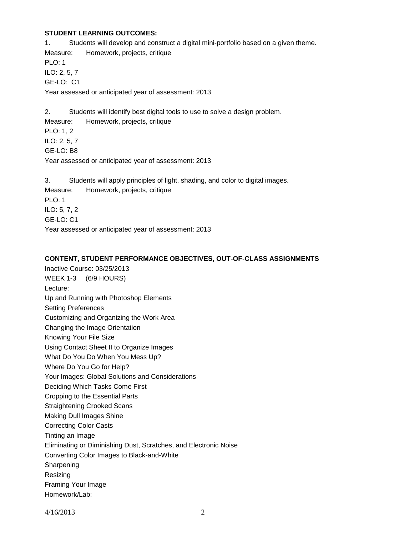#### **STUDENT LEARNING OUTCOMES:**

1. Students will develop and construct a digital mini-portfolio based on a given theme. Measure: Homework, projects, critique PLO: 1 ILO: 2, 5, 7 GE-LO: C1 Year assessed or anticipated year of assessment: 2013

2. Students will identify best digital tools to use to solve a design problem. Measure: Homework, projects, critique PLO: 1, 2 ILO: 2, 5, 7 GE-LO: B8 Year assessed or anticipated year of assessment: 2013

3. Students will apply principles of light, shading, and color to digital images. Measure: Homework, projects, critique PLO: 1 ILO: 5, 7, 2 GE-LO: C1 Year assessed or anticipated year of assessment: 2013

#### **CONTENT, STUDENT PERFORMANCE OBJECTIVES, OUT-OF-CLASS ASSIGNMENTS**

Inactive Course: 03/25/2013 WEEK 1-3 (6/9 HOURS) Lecture: Up and Running with Photoshop Elements Setting Preferences Customizing and Organizing the Work Area Changing the Image Orientation Knowing Your File Size Using Contact Sheet II to Organize Images What Do You Do When You Mess Up? Where Do You Go for Help? Your Images: Global Solutions and Considerations Deciding Which Tasks Come First Cropping to the Essential Parts Straightening Crooked Scans Making Dull Images Shine Correcting Color Casts Tinting an Image Eliminating or Diminishing Dust, Scratches, and Electronic Noise Converting Color Images to Black-and-White Sharpening Resizing Framing Your Image Homework/Lab: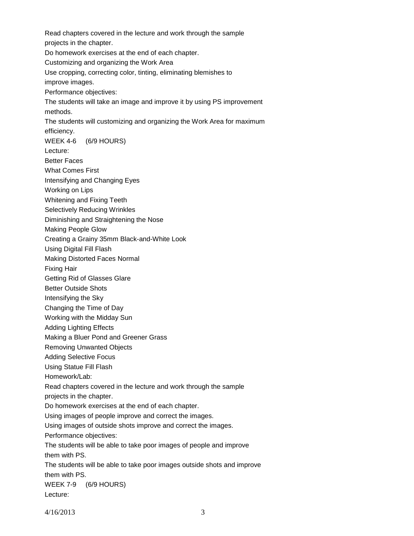Read chapters covered in the lecture and work through the sample projects in the chapter. Do homework exercises at the end of each chapter. Customizing and organizing the Work Area Use cropping, correcting color, tinting, eliminating blemishes to improve images. Performance objectives: The students will take an image and improve it by using PS improvement methods. The students will customizing and organizing the Work Area for maximum efficiency. WEEK 4-6 (6/9 HOURS) Lecture: Better Faces What Comes First Intensifying and Changing Eyes Working on Lips Whitening and Fixing Teeth Selectively Reducing Wrinkles Diminishing and Straightening the Nose Making People Glow Creating a Grainy 35mm Black-and-White Look Using Digital Fill Flash Making Distorted Faces Normal Fixing Hair Getting Rid of Glasses Glare Better Outside Shots Intensifying the Sky Changing the Time of Day Working with the Midday Sun Adding Lighting Effects Making a Bluer Pond and Greener Grass Removing Unwanted Objects Adding Selective Focus Using Statue Fill Flash Homework/Lab: Read chapters covered in the lecture and work through the sample projects in the chapter. Do homework exercises at the end of each chapter. Using images of people improve and correct the images. Using images of outside shots improve and correct the images. Performance objectives: The students will be able to take poor images of people and improve them with PS. The students will be able to take poor images outside shots and improve them with PS. WEEK 7-9 (6/9 HOURS) Lecture: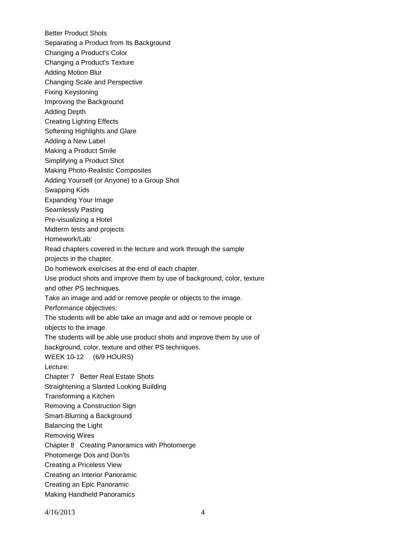Better Product Shots Separating a Product from Its Background Changing a Product's Color Changing a Product's Texture Adding Motion Blur Changing Scale and Perspective Fixing Keystoning Improving the Background Adding Depth Creating Lighting Effects Softening Highlights and Glare Adding a New Label Making a Product Smile Simplifying a Product Shot Making Photo-Realistic Composites Adding Yourself (or Anyone) to a Group Shot Swapping Kids Expanding Your Image Seamlessly Pasting Pre-visualizing a Hotel Midterm tests and projects Homework/Lab: Read chapters covered in the lecture and work through the sample projects in the chapter. Do homework exercises at the end of each chapter. Use product shots and improve them by use of background, color, texture and other PS techniques. Take an image and add or remove people or objects to the image. Performance objectives: The students will be able take an image and add or remove people or objects to the image. The students will be able use product shots and improve them by use of background, color, texture and other PS techniques. WEEK 10-12 (6/9 HOURS) Lecture: Chapter 7 Better Real Estate Shots Straightening a Slanted Looking Building Transforming a Kitchen Removing a Construction Sign Smart-Blurring a Background Balancing the Light Removing Wires Chapter 8 Creating Panoramics with Photomerge Photomerge Dos and Don'ts Creating a Priceless View Creating an Interior Panoramic Creating an Epic Panoramic Making Handheld Panoramics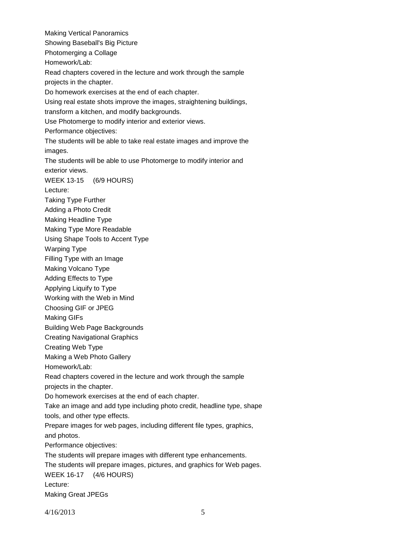Making Vertical Panoramics Showing Baseball's Big Picture Photomerging a Collage Homework/Lab: Read chapters covered in the lecture and work through the sample projects in the chapter. Do homework exercises at the end of each chapter. Using real estate shots improve the images, straightening buildings, transform a kitchen, and modify backgrounds. Use Photomerge to modify interior and exterior views. Performance objectives: The students will be able to take real estate images and improve the images. The students will be able to use Photomerge to modify interior and exterior views. WEEK 13-15 (6/9 HOURS) Lecture: Taking Type Further Adding a Photo Credit Making Headline Type Making Type More Readable Using Shape Tools to Accent Type Warping Type Filling Type with an Image Making Volcano Type Adding Effects to Type Applying Liquify to Type Working with the Web in Mind Choosing GIF or JPEG Making GIFs Building Web Page Backgrounds Creating Navigational Graphics Creating Web Type Making a Web Photo Gallery Homework/Lab: Read chapters covered in the lecture and work through the sample projects in the chapter. Do homework exercises at the end of each chapter. Take an image and add type including photo credit, headline type, shape tools, and other type effects. Prepare images for web pages, including different file types, graphics, and photos. Performance objectives: The students will prepare images with different type enhancements. The students will prepare images, pictures, and graphics for Web pages. WEEK 16-17 (4/6 HOURS) Lecture: Making Great JPEGs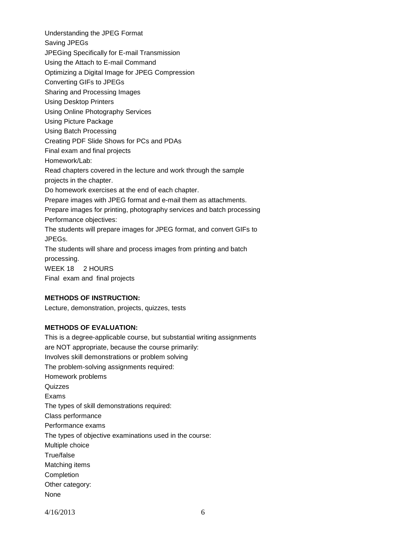Understanding the JPEG Format Saving JPEGs JPEGing Specifically for E-mail Transmission Using the Attach to E-mail Command Optimizing a Digital Image for JPEG Compression Converting GIFs to JPEGs Sharing and Processing Images Using Desktop Printers Using Online Photography Services Using Picture Package Using Batch Processing Creating PDF Slide Shows for PCs and PDAs Final exam and final projects Homework/Lab: Read chapters covered in the lecture and work through the sample projects in the chapter. Do homework exercises at the end of each chapter. Prepare images with JPEG format and e-mail them as attachments. Prepare images for printing, photography services and batch processing Performance objectives: The students will prepare images for JPEG format, and convert GIFs to JPEGs. The students will share and process images from printing and batch processing. WEEK 18 2 HOURS

Final exam and final projects

## **METHODS OF INSTRUCTION:**

Lecture, demonstration, projects, quizzes, tests

## **METHODS OF EVALUATION:**

This is a degree-applicable course, but substantial writing assignments are NOT appropriate, because the course primarily: Involves skill demonstrations or problem solving The problem-solving assignments required: Homework problems **Quizzes** Exams The types of skill demonstrations required: Class performance Performance exams The types of objective examinations used in the course: Multiple choice True/false Matching items **Completion** Other category: None

4/16/2013 6